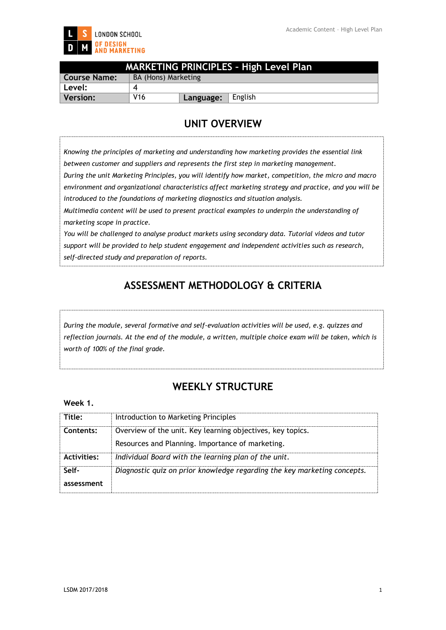

|              |                     |           | <b>MARKETING PRINCIPLES - High Level Plan</b> |
|--------------|---------------------|-----------|-----------------------------------------------|
| Course Name: | BA (Hons) Marketing |           |                                               |
| ˈ Level:     |                     |           |                                               |
| Version:     | <b>V16</b>          | Language: | English                                       |

## **UNIT OVERVIEW**

*Knowing the principles of marketing and understanding how marketing provides the essential link between customer and suppliers and represents the first step in marketing management. During the unit Marketing Principles, you will identify how market, competition, the micro and macro environment and organizational characteristics affect marketing strategy and practice, and you will be introduced to the foundations of marketing diagnostics and situation analysis. Multimedia content will be used to present practical examples to underpin the understanding of marketing scope in practice. You will be challenged to analyse product markets using secondary data. Tutorial videos and tutor support will be provided to help student engagement and independent activities such as research, self-directed study and preparation of reports.*

# **ASSESSMENT METHODOLOGY & CRITERIA**

*During the module, several formative and self-evaluation activities will be used, e.g. quizzes and reflection journals. At the end of the module, a written, multiple choice exam will be taken, which is worth of 100% of the final grade.*

## **WEEKLY STRUCTURE**

#### **Week 1.**

| Title:             | Introduction to Marketing Principles                                     |
|--------------------|--------------------------------------------------------------------------|
| Contents:          | Overview of the unit. Key learning objectives, key topics.               |
|                    | Resources and Planning. Importance of marketing.                         |
| <b>Activities:</b> | Individual Board with the learning plan of the unit.                     |
| Self-              | Diagnostic quiz on prior knowledge regarding the key marketing concepts. |
| assessment         |                                                                          |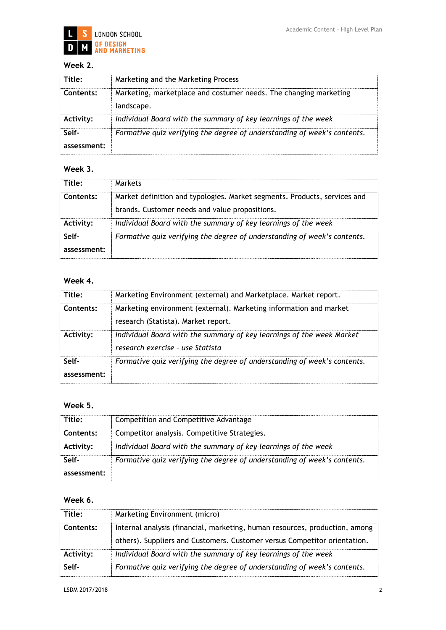

## **Week 2.**

| Title:               | Marketing and the Marketing Process                                             |
|----------------------|---------------------------------------------------------------------------------|
| Contents:            | Marketing, marketplace and costumer needs. The changing marketing<br>landscape. |
| Activity:            | Individual Board with the summary of key learnings of the week                  |
| Self-<br>assessment: | Formative quiz verifying the degree of understanding of week's contents.        |

## **Week 3.**

| Title:           | Markets                                                                   |
|------------------|---------------------------------------------------------------------------|
| Contents:        | Market definition and typologies. Market segments. Products, services and |
|                  | brands. Customer needs and value propositions.                            |
| <b>Activity:</b> | Individual Board with the summary of key learnings of the week            |
| Self-            | Formative quiz verifying the degree of understanding of week's contents.  |
| assessment:      |                                                                           |

## **Week 4.**

| Title:               | Marketing Environment (external) and Marketplace. Market report.                                          |
|----------------------|-----------------------------------------------------------------------------------------------------------|
| Contents:            | Marketing environment (external). Marketing information and market<br>research (Statista). Market report. |
| <b>Activity:</b>     | Individual Board with the summary of key learnings of the week Market<br>research exercise - use Statista |
| Self-<br>assessment: | Formative quiz verifying the degree of understanding of week's contents.                                  |

## **Week 5.**

| Title:           | Competition and Competitive Advantage                                    |
|------------------|--------------------------------------------------------------------------|
| Contents:        | Competitor analysis. Competitive Strategies.                             |
| <b>Activity:</b> | Individual Board with the summary of key learnings of the week           |
| Self-            | Formative quiz verifying the degree of understanding of week's contents. |
| assessment:      |                                                                          |

## **Week 6.**

| Title:    | Marketing Environment (micro)                                                                                                                            |
|-----------|----------------------------------------------------------------------------------------------------------------------------------------------------------|
| Contents: | Internal analysis (financial, marketing, human resources, production, among<br>others). Suppliers and Customers. Customer versus Competitor orientation. |
| Activity: | Individual Board with the summary of key learnings of the week                                                                                           |
| Self-     | Formative quiz verifying the degree of understanding of week's contents.                                                                                 |